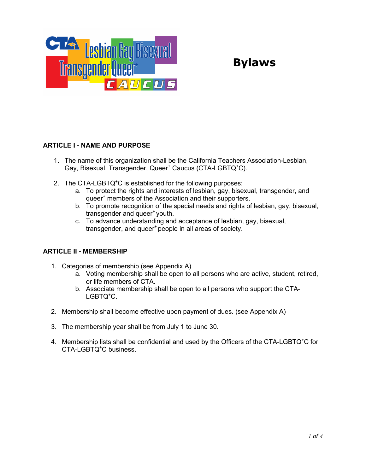

# **Bylaws**

# **ARTICLE I - NAME AND PURPOSE**

- 1. The name of this organization shall be the California Teachers Association-Lesbian, Gay, Bisexual, Transgender, Queer<sup>+</sup> Caucus (CTA-LGBTQ<sup>+</sup>C).
- 2. The CTA-LGBTQ<sup>+</sup>C is established for the following purposes:
	- a. To protect the rights and interests of lesbian, gay, bisexual, transgender, and queer<sup>+</sup> members of the Association and their supporters.
	- b. To promote recognition of the special needs and rights of lesbian, gay, bisexual, transgender and queer<sup>+</sup> youth.
	- c. To advance understanding and acceptance of lesbian, gay, bisexual, transgender, and queer<sup>+</sup> people in all areas of society.

# **ARTICLE II - MEMBERSHIP**

- 1. Categories of membership (see Appendix A)
	- a. Voting membership shall be open to all persons who are active, student, retired, or life members of CTA.
	- b. Associate membership shall be open to all persons who support the CTA-LGBTQ<sup>+</sup>C.
- 2. Membership shall become effective upon payment of dues. (see Appendix A)
- 3. The membership year shall be from July 1 to June 30.
- 4. Membership lists shall be confidential and used by the Officers of the CTA-LGBTQ<sup>+</sup>C for CTA-LGBTQ<sup>+</sup>C business.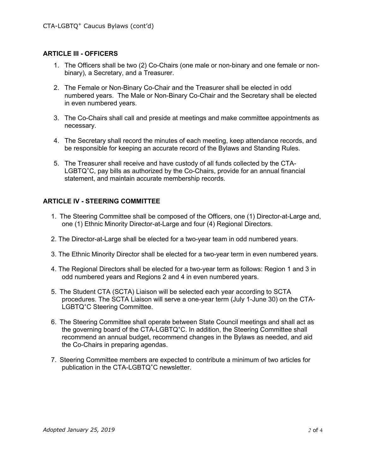## **ARTICLE III - OFFICERS**

- 1. The Officers shall be two (2) Co-Chairs (one male or non-binary and one female or nonbinary), a Secretary, and a Treasurer.
- 2. The Female or Non-Binary Co-Chair and the Treasurer shall be elected in odd numbered years. The Male or Non-Binary Co-Chair and the Secretary shall be elected in even numbered years.
- 3. The Co-Chairs shall call and preside at meetings and make committee appointments as necessary.
- 4. The Secretary shall record the minutes of each meeting, keep attendance records, and be responsible for keeping an accurate record of the Bylaws and Standing Rules.
- 5. The Treasurer shall receive and have custody of all funds collected by the CTA-LGBTQ<sup>+</sup>C, pay bills as authorized by the Co-Chairs, provide for an annual financial statement, and maintain accurate membership records.

## **ARTICLE IV - STEERING COMMITTEE**

- 1. The Steering Committee shall be composed of the Officers, one (1) Director-at-Large and, one (1) Ethnic Minority Director-at-Large and four (4) Regional Directors.
- 2. The Director-at-Large shall be elected for a two-year team in odd numbered years.
- 3. The Ethnic Minority Director shall be elected for a two-year term in even numbered years.
- 4. The Regional Directors shall be elected for a two-year term as follows: Region 1 and 3 in odd numbered years and Regions 2 and 4 in even numbered years.
- 5. The Student CTA (SCTA) Liaison will be selected each year according to SCTA procedures. The SCTA Liaison will serve a one-year term (July 1-June 30) on the CTA-LGBTQ<sup>+</sup>C Steering Committee.
- 6. The Steering Committee shall operate between State Council meetings and shall act as the governing board of the CTA-LGBTQ<sup>+</sup>C. In addition, the Steering Committee shall recommend an annual budget, recommend changes in the Bylaws as needed, and aid the Co-Chairs in preparing agendas.
- 7. Steering Committee members are expected to contribute a minimum of two articles for publication in the CTA-LGBTQ<sup>+</sup>C newsletter.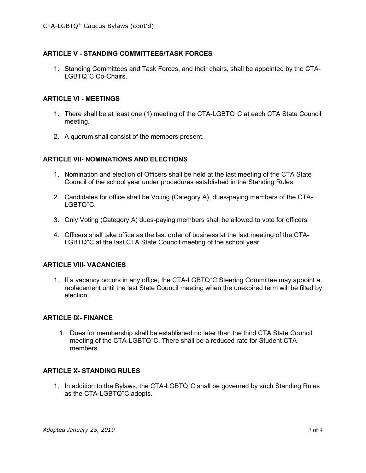## **ARTICLE V - STANDING COMMITTEES/TASK FORCES**

1. Standing Committees and Task Forces, and their chairs, shall be appointed by the CTA-LGBTQ<sup>+</sup>C Co-Chairs.

#### **ARTICLE VI - MEETINGS**

- 1. There shall be at least one (1) meeting of the CTA-LGBTQ<sup>+</sup>C at each CTA State Council meeting.
- 2. A quorum shall consist of the members present.

#### **ARTICLE VII- NOMINATIONS AND ELECTIONS**

- 1. Nomination and election of Officers shall be held at the last meeting of the CTA State Council of the school year under procedures established in the Standing Rules.
- 2. Candidates for office shall be Voting (Category A), dues-paying members of the CTA-LGBTQ<sup>+</sup>C.
- 3. Only Voting (Category A) dues-paying members shall be allowed to vote for officers.
- 4. Officers shall take office as the last order of business at the last meeting of the CTA-LGBTQ<sup>+</sup>C at the last CTA State Council meeting of the school year.

#### **ARTICLE VIII- VACANCIES**

1. If a vacancy occurs in any office, the CTA-LGBTQ<sup>+</sup>C Steering Committee may appoint a replacement until the last State Council meeting when the unexpired term will be filled by election.

#### **ARTICLE IX- FINANCE**

1. Dues for membership shall be established no later than the third CTA State Council meeting of the CTA-LGBTQ<sup>+</sup>C. There shall be a reduced rate for Student CTA members.

# **ARTICLE X- STANDING RULES**

1. In addition to the Bylaws, the CTA-LGBTQ<sup>+</sup>C shall be governed by such Standing Rules as the CTA-LGBTQ<sup>+</sup>C adopts.